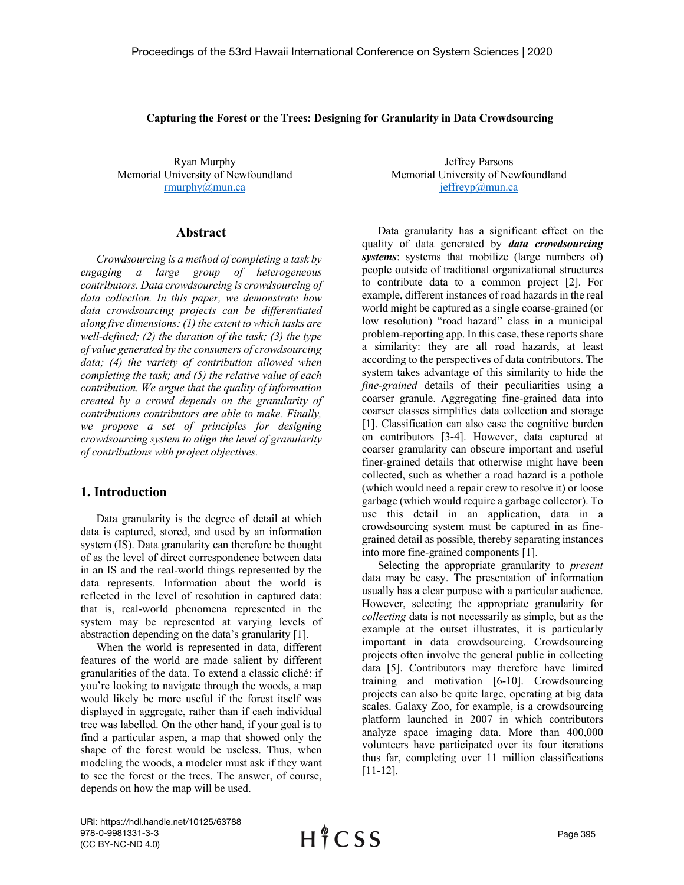#### **Capturing the Forest or the Trees: Designing for Granularity in Data Crowdsourcing**

Ryan Murphy Memorial University of Newfoundland rmurphy@mun.ca

#### **Abstract**

*Crowdsourcing is a method of completing a task by engaging a large group of heterogeneous contributors. Data crowdsourcing is crowdsourcing of data collection. In this paper, we demonstrate how data crowdsourcing projects can be differentiated along five dimensions: (1) the extent to which tasks are well-defined; (2) the duration of the task; (3) the type of value generated by the consumers of crowdsourcing data; (4) the variety of contribution allowed when completing the task; and (5) the relative value of each contribution. We argue that the quality of information created by a crowd depends on the granularity of contributions contributors are able to make. Finally, we propose a set of principles for designing crowdsourcing system to align the level of granularity of contributions with project objectives.* 

#### **1. Introduction**

Data granularity is the degree of detail at which data is captured, stored, and used by an information system (IS). Data granularity can therefore be thought of as the level of direct correspondence between data in an IS and the real-world things represented by the data represents. Information about the world is reflected in the level of resolution in captured data: that is, real-world phenomena represented in the system may be represented at varying levels of abstraction depending on the data's granularity [1].

When the world is represented in data, different features of the world are made salient by different granularities of the data. To extend a classic cliché: if you're looking to navigate through the woods, a map would likely be more useful if the forest itself was displayed in aggregate, rather than if each individual tree was labelled. On the other hand, if your goal is to find a particular aspen, a map that showed only the shape of the forest would be useless. Thus, when modeling the woods, a modeler must ask if they want to see the forest or the trees. The answer, of course, depends on how the map will be used.

Jeffrey Parsons Memorial University of Newfoundland  $j$ effreyp $@$ mun.ca

Data granularity has a significant effect on the quality of data generated by *data crowdsourcing systems*: systems that mobilize (large numbers of) people outside of traditional organizational structures to contribute data to a common project [2]. For example, different instances of road hazards in the real world might be captured as a single coarse-grained (or low resolution) "road hazard" class in a municipal problem-reporting app. In this case, these reports share a similarity: they are all road hazards, at least according to the perspectives of data contributors. The system takes advantage of this similarity to hide the *fine-grained* details of their peculiarities using a coarser granule. Aggregating fine-grained data into coarser classes simplifies data collection and storage [1]. Classification can also ease the cognitive burden on contributors [3-4]. However, data captured at coarser granularity can obscure important and useful finer-grained details that otherwise might have been collected, such as whether a road hazard is a pothole (which would need a repair crew to resolve it) or loose garbage (which would require a garbage collector). To use this detail in an application, data in a crowdsourcing system must be captured in as finegrained detail as possible, thereby separating instances into more fine-grained components [1].

Selecting the appropriate granularity to *present* data may be easy. The presentation of information usually has a clear purpose with a particular audience. However, selecting the appropriate granularity for *collecting* data is not necessarily as simple, but as the example at the outset illustrates, it is particularly important in data crowdsourcing. Crowdsourcing projects often involve the general public in collecting data [5]. Contributors may therefore have limited training and motivation [6-10]. Crowdsourcing projects can also be quite large, operating at big data scales. Galaxy Zoo, for example, is a crowdsourcing platform launched in 2007 in which contributors analyze space imaging data. More than 400,000 volunteers have participated over its four iterations thus far, completing over 11 million classifications [11-12].

URI: https://hdl.handle.net/10125/63788 978-0-9981331-3-3 (CC BY-NC-ND 4.0)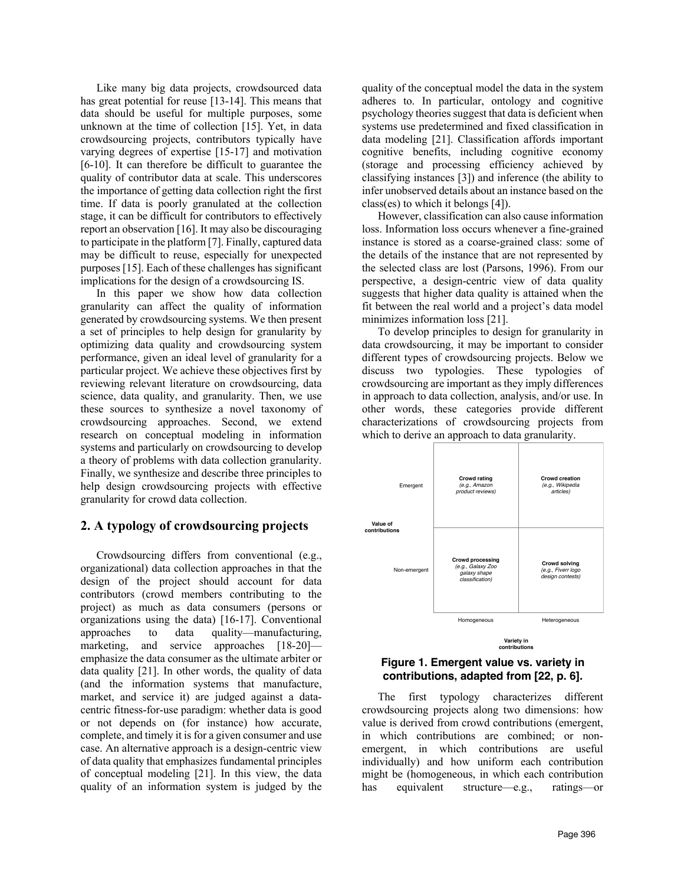Like many big data projects, crowdsourced data has great potential for reuse [13-14]. This means that data should be useful for multiple purposes, some unknown at the time of collection [15]. Yet, in data crowdsourcing projects, contributors typically have varying degrees of expertise [15-17] and motivation [6-10]. It can therefore be difficult to guarantee the quality of contributor data at scale. This underscores the importance of getting data collection right the first time. If data is poorly granulated at the collection stage, it can be difficult for contributors to effectively report an observation [16]. It may also be discouraging to participate in the platform [7]. Finally, captured data may be difficult to reuse, especially for unexpected purposes [15]. Each of these challenges has significant implications for the design of a crowdsourcing IS.

In this paper we show how data collection granularity can affect the quality of information generated by crowdsourcing systems. We then present a set of principles to help design for granularity by optimizing data quality and crowdsourcing system performance, given an ideal level of granularity for a particular project. We achieve these objectives first by reviewing relevant literature on crowdsourcing, data science, data quality, and granularity. Then, we use these sources to synthesize a novel taxonomy of crowdsourcing approaches. Second, we extend research on conceptual modeling in information systems and particularly on crowdsourcing to develop a theory of problems with data collection granularity. Finally, we synthesize and describe three principles to help design crowdsourcing projects with effective granularity for crowd data collection.

### **2. A typology of crowdsourcing projects**

Crowdsourcing differs from conventional (e.g., organizational) data collection approaches in that the design of the project should account for data contributors (crowd members contributing to the project) as much as data consumers (persons or organizations using the data) [16-17]. Conventional approaches to data quality—manufacturing, marketing, and service approaches [18-20] emphasize the data consumer as the ultimate arbiter or data quality [21]. In other words, the quality of data (and the information systems that manufacture, market, and service it) are judged against a datacentric fitness-for-use paradigm: whether data is good or not depends on (for instance) how accurate, complete, and timely it is for a given consumer and use case. An alternative approach is a design-centric view of data quality that emphasizes fundamental principles of conceptual modeling [21]. In this view, the data quality of an information system is judged by the quality of the conceptual model the data in the system adheres to. In particular, ontology and cognitive psychology theories suggest that data is deficient when systems use predetermined and fixed classification in data modeling [21]. Classification affords important cognitive benefits, including cognitive economy (storage and processing efficiency achieved by classifying instances [3]) and inference (the ability to infer unobserved details about an instance based on the class(es) to which it belongs [4]).

However, classification can also cause information loss. Information loss occurs whenever a fine-grained instance is stored as a coarse-grained class: some of the details of the instance that are not represented by the selected class are lost (Parsons, 1996). From our perspective, a design-centric view of data quality suggests that higher data quality is attained when the fit between the real world and a project's data model minimizes information loss [21].

To develop principles to design for granularity in data crowdsourcing, it may be important to consider different types of crowdsourcing projects. Below we discuss two typologies. These typologies of crowdsourcing are important as they imply differences in approach to data collection, analysis, and/or use. In other words, these categories provide different characterizations of crowdsourcing projects from which to derive an approach to data granularity.



**Variety in contributions**

### **Figure 1. Emergent value vs. variety in contributions, adapted from [22, p. 6].**

The first typology characterizes different crowdsourcing projects along two dimensions: how value is derived from crowd contributions (emergent, in which contributions are combined; or nonemergent, in which contributions are useful individually) and how uniform each contribution might be (homogeneous, in which each contribution has equivalent structure—e.g., ratings—or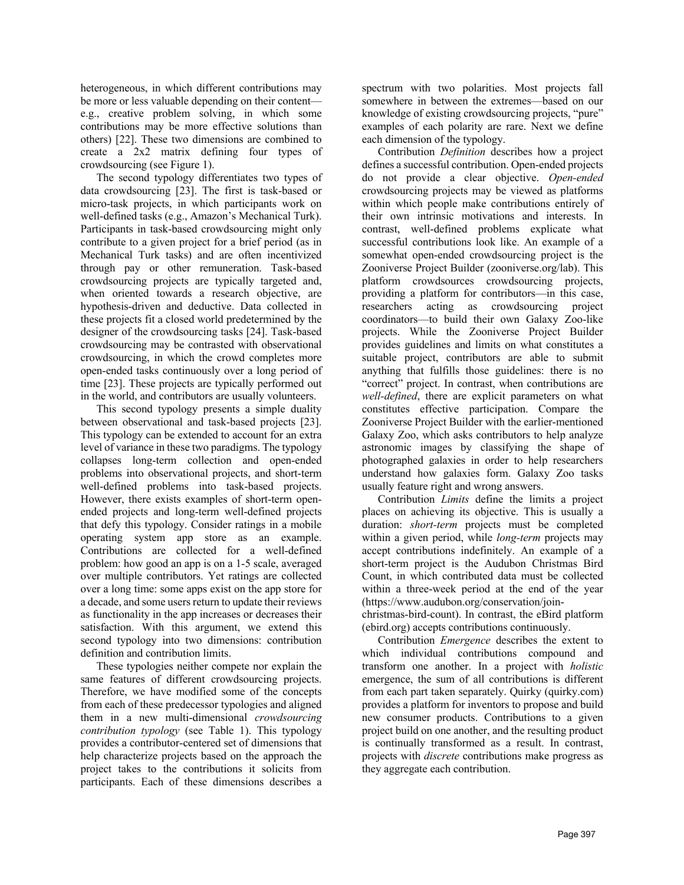heterogeneous, in which different contributions may be more or less valuable depending on their content e.g., creative problem solving, in which some contributions may be more effective solutions than others) [22]. These two dimensions are combined to create a 2x2 matrix defining four types of crowdsourcing (see Figure 1).

The second typology differentiates two types of data crowdsourcing [23]. The first is task-based or micro-task projects, in which participants work on well-defined tasks (e.g., Amazon's Mechanical Turk). Participants in task-based crowdsourcing might only contribute to a given project for a brief period (as in Mechanical Turk tasks) and are often incentivized through pay or other remuneration. Task-based crowdsourcing projects are typically targeted and, when oriented towards a research objective, are hypothesis-driven and deductive. Data collected in these projects fit a closed world predetermined by the designer of the crowdsourcing tasks [24]. Task-based crowdsourcing may be contrasted with observational crowdsourcing, in which the crowd completes more open-ended tasks continuously over a long period of time [23]. These projects are typically performed out in the world, and contributors are usually volunteers.

This second typology presents a simple duality between observational and task-based projects [23]. This typology can be extended to account for an extra level of variance in these two paradigms. The typology collapses long-term collection and open-ended problems into observational projects, and short-term well-defined problems into task-based projects. However, there exists examples of short-term openended projects and long-term well-defined projects that defy this typology. Consider ratings in a mobile operating system app store as an example. Contributions are collected for a well-defined problem: how good an app is on a 1-5 scale, averaged over multiple contributors. Yet ratings are collected over a long time: some apps exist on the app store for a decade, and some users return to update their reviews as functionality in the app increases or decreases their satisfaction. With this argument, we extend this second typology into two dimensions: contribution definition and contribution limits.

These typologies neither compete nor explain the same features of different crowdsourcing projects. Therefore, we have modified some of the concepts from each of these predecessor typologies and aligned them in a new multi-dimensional *crowdsourcing contribution typology* (see Table 1). This typology provides a contributor-centered set of dimensions that help characterize projects based on the approach the project takes to the contributions it solicits from participants. Each of these dimensions describes a

spectrum with two polarities. Most projects fall somewhere in between the extremes—based on our knowledge of existing crowdsourcing projects, "pure" examples of each polarity are rare. Next we define each dimension of the typology.

Contribution *Definition* describes how a project defines a successful contribution. Open-ended projects do not provide a clear objective. *Open-ended* crowdsourcing projects may be viewed as platforms within which people make contributions entirely of their own intrinsic motivations and interests. In contrast, well-defined problems explicate what successful contributions look like. An example of a somewhat open-ended crowdsourcing project is the Zooniverse Project Builder (zooniverse.org/lab). This platform crowdsources crowdsourcing projects, providing a platform for contributors—in this case, researchers acting as crowdsourcing project coordinators—to build their own Galaxy Zoo-like projects. While the Zooniverse Project Builder provides guidelines and limits on what constitutes a suitable project, contributors are able to submit anything that fulfills those guidelines: there is no "correct" project. In contrast, when contributions are *well-defined*, there are explicit parameters on what constitutes effective participation. Compare the Zooniverse Project Builder with the earlier-mentioned Galaxy Zoo, which asks contributors to help analyze astronomic images by classifying the shape of photographed galaxies in order to help researchers understand how galaxies form. Galaxy Zoo tasks usually feature right and wrong answers.

Contribution *Limits* define the limits a project places on achieving its objective. This is usually a duration: *short-term* projects must be completed within a given period, while *long-term* projects may accept contributions indefinitely. An example of a short-term project is the Audubon Christmas Bird Count, in which contributed data must be collected within a three-week period at the end of the year (https://www.audubon.org/conservation/joinchristmas-bird-count). In contrast, the eBird platform

(ebird.org) accepts contributions continuously. Contribution *Emergence* describes the extent to which individual contributions compound and transform one another. In a project with *holistic* emergence, the sum of all contributions is different from each part taken separately. Quirky (quirky.com) provides a platform for inventors to propose and build new consumer products. Contributions to a given project build on one another, and the resulting product is continually transformed as a result. In contrast, projects with *discrete* contributions make progress as they aggregate each contribution.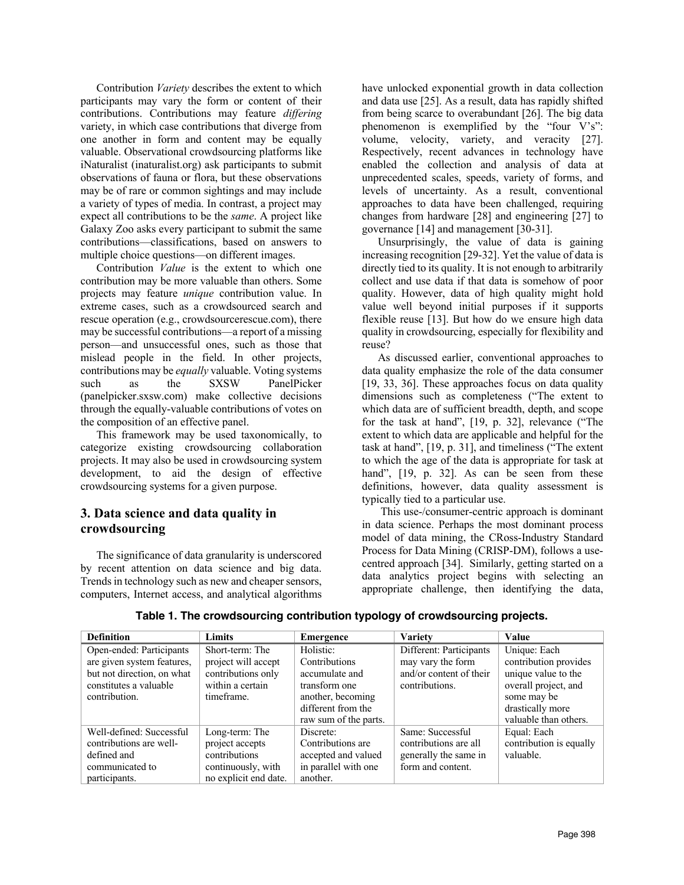Contribution *Variety* describes the extent to which participants may vary the form or content of their contributions. Contributions may feature *differing* variety, in which case contributions that diverge from one another in form and content may be equally valuable. Observational crowdsourcing platforms like iNaturalist (inaturalist.org) ask participants to submit observations of fauna or flora, but these observations may be of rare or common sightings and may include a variety of types of media. In contrast, a project may expect all contributions to be the *same*. A project like Galaxy Zoo asks every participant to submit the same contributions—classifications, based on answers to multiple choice questions—on different images.

Contribution *Value* is the extent to which one contribution may be more valuable than others. Some projects may feature *unique* contribution value. In extreme cases, such as a crowdsourced search and rescue operation (e.g., crowdsourcerescue.com), there may be successful contributions—a report of a missing person—and unsuccessful ones, such as those that mislead people in the field. In other projects, contributions may be *equally* valuable. Voting systems such as the SXSW PanelPicker (panelpicker.sxsw.com) make collective decisions through the equally-valuable contributions of votes on the composition of an effective panel.

This framework may be used taxonomically, to categorize existing crowdsourcing collaboration projects. It may also be used in crowdsourcing system development, to aid the design of effective crowdsourcing systems for a given purpose.

# **3. Data science and data quality in crowdsourcing**

The significance of data granularity is underscored by recent attention on data science and big data. Trends in technology such as new and cheaper sensors, computers, Internet access, and analytical algorithms have unlocked exponential growth in data collection and data use [25]. As a result, data has rapidly shifted from being scarce to overabundant [26]. The big data phenomenon is exemplified by the "four V's": volume, velocity, variety, and veracity [27]. Respectively, recent advances in technology have enabled the collection and analysis of data at unprecedented scales, speeds, variety of forms, and levels of uncertainty. As a result, conventional approaches to data have been challenged, requiring changes from hardware [28] and engineering [27] to governance [14] and management [30-31].

Unsurprisingly, the value of data is gaining increasing recognition [29-32]. Yet the value of data is directly tied to its quality. It is not enough to arbitrarily collect and use data if that data is somehow of poor quality. However, data of high quality might hold value well beyond initial purposes if it supports flexible reuse [13]. But how do we ensure high data quality in crowdsourcing, especially for flexibility and reuse?

As discussed earlier, conventional approaches to data quality emphasize the role of the data consumer [19, 33, 36]. These approaches focus on data quality dimensions such as completeness ("The extent to which data are of sufficient breadth, depth, and scope for the task at hand", [19, p. 32], relevance ("The extent to which data are applicable and helpful for the task at hand", [19, p. 31], and timeliness ("The extent to which the age of the data is appropriate for task at hand", [19, p. 32]. As can be seen from these definitions, however, data quality assessment is typically tied to a particular use.

This use-/consumer-centric approach is dominant in data science. Perhaps the most dominant process model of data mining, the CRoss-Industry Standard Process for Data Mining (CRISP-DM), follows a usecentred approach [34]. Similarly, getting started on a data analytics project begins with selecting an appropriate challenge, then identifying the data,

| <b>Definition</b>          | Limits                | <b>Emergence</b>      | <b>Variety</b>          | Value                   |
|----------------------------|-----------------------|-----------------------|-------------------------|-------------------------|
| Open-ended: Participants   | Short-term: The       | Holistic:             | Different: Participants | Unique: Each            |
| are given system features, | project will accept   | Contributions         | may vary the form       | contribution provides   |
| but not direction, on what | contributions only    | accumulate and        | and/or content of their | unique value to the     |
| constitutes a valuable     | within a certain      | transform one         | contributions.          | overall project, and    |
| contribution.              | timeframe.            | another, becoming     |                         | some may be             |
|                            |                       | different from the    |                         | drastically more        |
|                            |                       | raw sum of the parts. |                         | valuable than others.   |
| Well-defined: Successful   | Long-term: The        | Discrete:             | Same: Successful        | Equal: Each             |
| contributions are well-    | project accepts       | Contributions are     | contributions are all   | contribution is equally |
| defined and                | contributions         | accepted and valued   | generally the same in   | valuable.               |
| communicated to            | continuously, with    | in parallel with one  | form and content.       |                         |
| participants.              | no explicit end date. | another.              |                         |                         |

**Table 1. The crowdsourcing contribution typology of crowdsourcing projects.**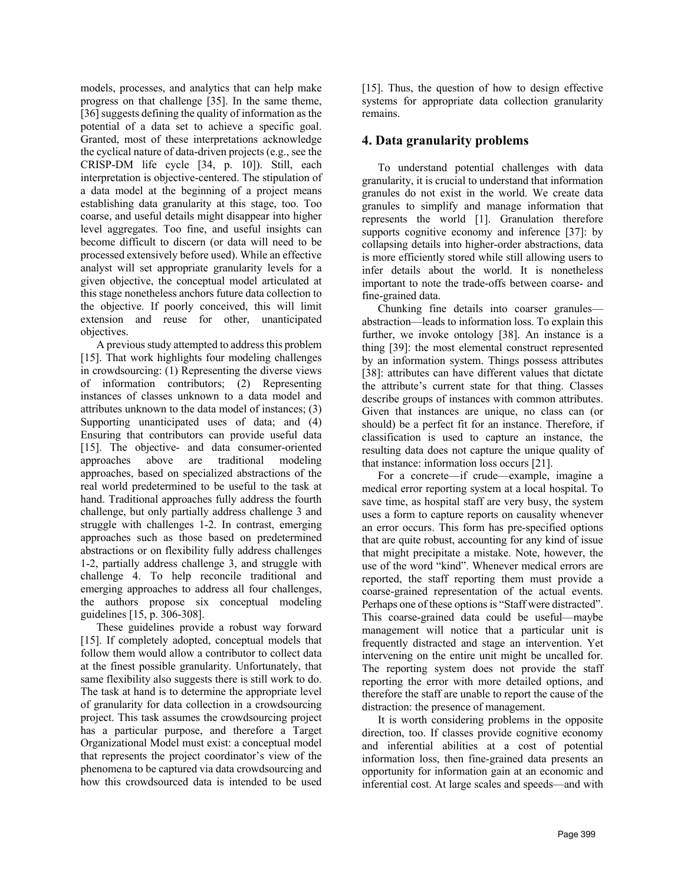models, processes, and analytics that can help make progress on that challenge [35]. In the same theme, [36] suggests defining the quality of information as the potential of a data set to achieve a specific goal. Granted, most of these interpretations acknowledge the cyclical nature of data-driven projects (e.g., see the CRISP-DM life cycle [34, p. 10]). Still, each interpretation is objective-centered. The stipulation of a data model at the beginning of a project means establishing data granularity at this stage, too. Too coarse, and useful details might disappear into higher level aggregates. Too fine, and useful insights can become difficult to discern (or data will need to be processed extensively before used). While an effective analyst will set appropriate granularity levels for a given objective, the conceptual model articulated at this stage nonetheless anchors future data collection to the objective. If poorly conceived, this will limit extension and reuse for other, unanticipated objectives.

A previous study attempted to address this problem [15]. That work highlights four modeling challenges in crowdsourcing: (1) Representing the diverse views of information contributors; (2) Representing instances of classes unknown to a data model and attributes unknown to the data model of instances; (3) Supporting unanticipated uses of data; and (4) Ensuring that contributors can provide useful data [15]. The objective- and data consumer-oriented approaches above are traditional modeling approaches, based on specialized abstractions of the real world predetermined to be useful to the task at hand. Traditional approaches fully address the fourth challenge, but only partially address challenge 3 and struggle with challenges 1-2. In contrast, emerging approaches such as those based on predetermined abstractions or on flexibility fully address challenges 1-2, partially address challenge 3, and struggle with challenge 4. To help reconcile traditional and emerging approaches to address all four challenges, the authors propose six conceptual modeling guidelines [15, p. 306-308].

These guidelines provide a robust way forward [15]. If completely adopted, conceptual models that follow them would allow a contributor to collect data at the finest possible granularity. Unfortunately, that same flexibility also suggests there is still work to do. The task at hand is to determine the appropriate level of granularity for data collection in a crowdsourcing project. This task assumes the crowdsourcing project has a particular purpose, and therefore a Target Organizational Model must exist: a conceptual model that represents the project coordinator's view of the phenomena to be captured via data crowdsourcing and how this crowdsourced data is intended to be used

[15]. Thus, the question of how to design effective systems for appropriate data collection granularity remains.

### **4. Data granularity problems**

To understand potential challenges with data granularity, it is crucial to understand that information granules do not exist in the world. We create data granules to simplify and manage information that represents the world [1]. Granulation therefore supports cognitive economy and inference [37]: by collapsing details into higher-order abstractions, data is more efficiently stored while still allowing users to infer details about the world. It is nonetheless important to note the trade-offs between coarse- and fine-grained data.

Chunking fine details into coarser granules abstraction—leads to information loss. To explain this further, we invoke ontology [38]. An instance is a thing [39]: the most elemental construct represented by an information system. Things possess attributes [38]: attributes can have different values that dictate the attribute's current state for that thing. Classes describe groups of instances with common attributes. Given that instances are unique, no class can (or should) be a perfect fit for an instance. Therefore, if classification is used to capture an instance, the resulting data does not capture the unique quality of that instance: information loss occurs [21].

For a concrete—if crude—example, imagine a medical error reporting system at a local hospital. To save time, as hospital staff are very busy, the system uses a form to capture reports on causality whenever an error occurs. This form has pre-specified options that are quite robust, accounting for any kind of issue that might precipitate a mistake. Note, however, the use of the word "kind". Whenever medical errors are reported, the staff reporting them must provide a coarse-grained representation of the actual events. Perhaps one of these options is "Staff were distracted". This coarse-grained data could be useful—maybe management will notice that a particular unit is frequently distracted and stage an intervention. Yet intervening on the entire unit might be uncalled for. The reporting system does not provide the staff reporting the error with more detailed options, and therefore the staff are unable to report the cause of the distraction: the presence of management.

It is worth considering problems in the opposite direction, too. If classes provide cognitive economy and inferential abilities at a cost of potential information loss, then fine-grained data presents an opportunity for information gain at an economic and inferential cost. At large scales and speeds—and with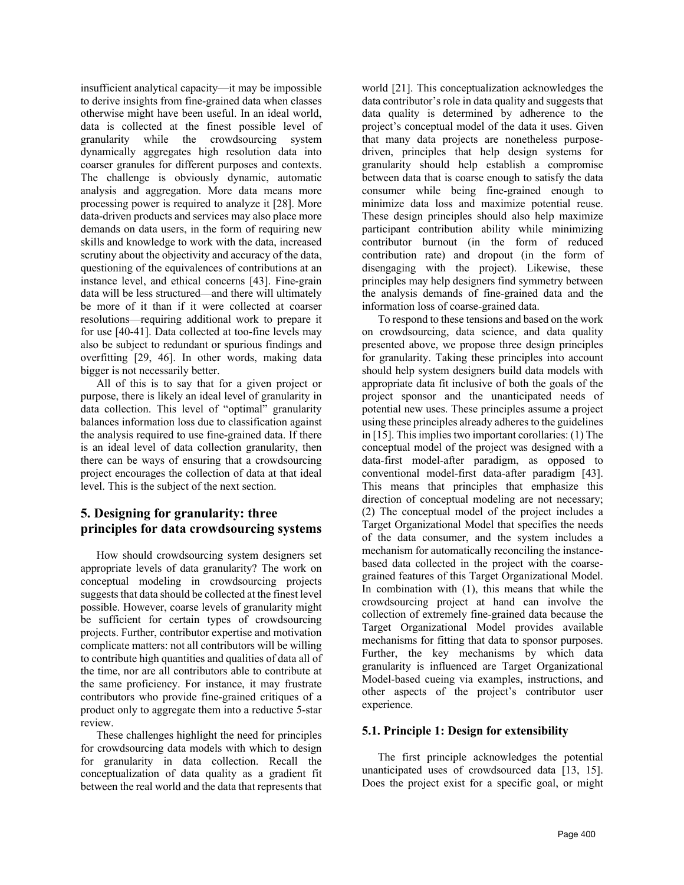insufficient analytical capacity—it may be impossible to derive insights from fine-grained data when classes otherwise might have been useful. In an ideal world, data is collected at the finest possible level of granularity while the crowdsourcing system dynamically aggregates high resolution data into coarser granules for different purposes and contexts. The challenge is obviously dynamic, automatic analysis and aggregation. More data means more processing power is required to analyze it [28]. More data-driven products and services may also place more demands on data users, in the form of requiring new skills and knowledge to work with the data, increased scrutiny about the objectivity and accuracy of the data, questioning of the equivalences of contributions at an instance level, and ethical concerns [43]. Fine-grain data will be less structured—and there will ultimately be more of it than if it were collected at coarser resolutions—requiring additional work to prepare it for use [40-41]. Data collected at too-fine levels may also be subject to redundant or spurious findings and overfitting [29, 46]. In other words, making data bigger is not necessarily better.

All of this is to say that for a given project or purpose, there is likely an ideal level of granularity in data collection. This level of "optimal" granularity balances information loss due to classification against the analysis required to use fine-grained data. If there is an ideal level of data collection granularity, then there can be ways of ensuring that a crowdsourcing project encourages the collection of data at that ideal level. This is the subject of the next section.

# **5. Designing for granularity: three principles for data crowdsourcing systems**

How should crowdsourcing system designers set appropriate levels of data granularity? The work on conceptual modeling in crowdsourcing projects suggests that data should be collected at the finest level possible. However, coarse levels of granularity might be sufficient for certain types of crowdsourcing projects. Further, contributor expertise and motivation complicate matters: not all contributors will be willing to contribute high quantities and qualities of data all of the time, nor are all contributors able to contribute at the same proficiency. For instance, it may frustrate contributors who provide fine-grained critiques of a product only to aggregate them into a reductive 5-star review.

These challenges highlight the need for principles for crowdsourcing data models with which to design for granularity in data collection. Recall the conceptualization of data quality as a gradient fit between the real world and the data that represents that world [21]. This conceptualization acknowledges the data contributor's role in data quality and suggests that data quality is determined by adherence to the project's conceptual model of the data it uses. Given that many data projects are nonetheless purposedriven, principles that help design systems for granularity should help establish a compromise between data that is coarse enough to satisfy the data consumer while being fine-grained enough to minimize data loss and maximize potential reuse. These design principles should also help maximize participant contribution ability while minimizing contributor burnout (in the form of reduced contribution rate) and dropout (in the form of disengaging with the project). Likewise, these principles may help designers find symmetry between the analysis demands of fine-grained data and the information loss of coarse-grained data.

To respond to these tensions and based on the work on crowdsourcing, data science, and data quality presented above, we propose three design principles for granularity. Taking these principles into account should help system designers build data models with appropriate data fit inclusive of both the goals of the project sponsor and the unanticipated needs of potential new uses. These principles assume a project using these principles already adheres to the guidelines in [15]. This implies two important corollaries: (1) The conceptual model of the project was designed with a data-first model-after paradigm, as opposed to conventional model-first data-after paradigm [43]. This means that principles that emphasize this direction of conceptual modeling are not necessary; (2) The conceptual model of the project includes a Target Organizational Model that specifies the needs of the data consumer, and the system includes a mechanism for automatically reconciling the instancebased data collected in the project with the coarsegrained features of this Target Organizational Model. In combination with (1), this means that while the crowdsourcing project at hand can involve the collection of extremely fine-grained data because the Target Organizational Model provides available mechanisms for fitting that data to sponsor purposes. Further, the key mechanisms by which data granularity is influenced are Target Organizational Model-based cueing via examples, instructions, and other aspects of the project's contributor user experience.

### **5.1. Principle 1: Design for extensibility**

The first principle acknowledges the potential unanticipated uses of crowdsourced data [13, 15]. Does the project exist for a specific goal, or might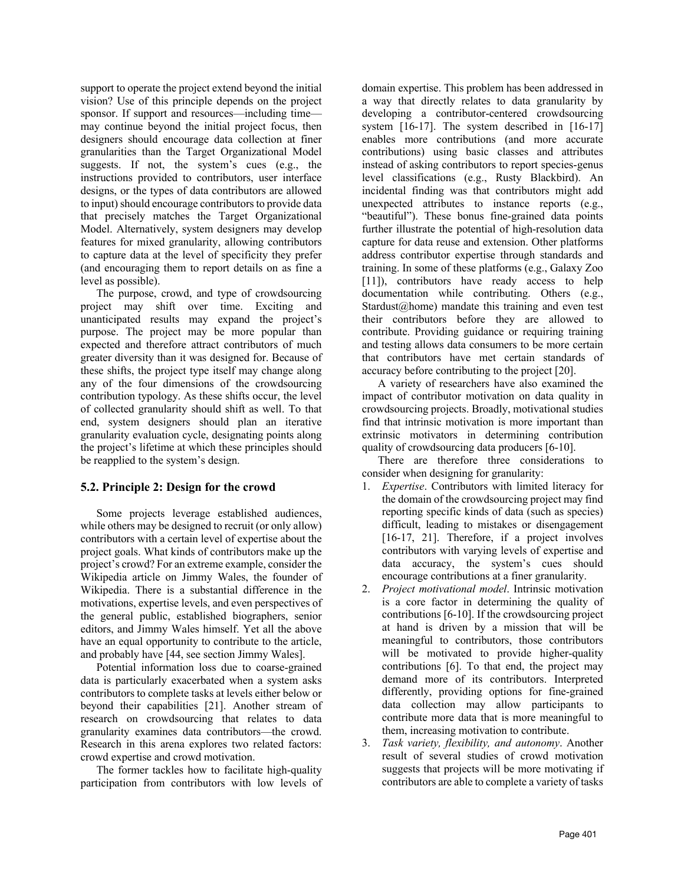support to operate the project extend beyond the initial vision? Use of this principle depends on the project sponsor. If support and resources—including time may continue beyond the initial project focus, then designers should encourage data collection at finer granularities than the Target Organizational Model suggests. If not, the system's cues (e.g., the instructions provided to contributors, user interface designs, or the types of data contributors are allowed to input) should encourage contributors to provide data that precisely matches the Target Organizational Model. Alternatively, system designers may develop features for mixed granularity, allowing contributors to capture data at the level of specificity they prefer (and encouraging them to report details on as fine a level as possible).

The purpose, crowd, and type of crowdsourcing project may shift over time. Exciting and unanticipated results may expand the project's purpose. The project may be more popular than expected and therefore attract contributors of much greater diversity than it was designed for. Because of these shifts, the project type itself may change along any of the four dimensions of the crowdsourcing contribution typology. As these shifts occur, the level of collected granularity should shift as well. To that end, system designers should plan an iterative granularity evaluation cycle, designating points along the project's lifetime at which these principles should be reapplied to the system's design.

### **5.2. Principle 2: Design for the crowd**

Some projects leverage established audiences, while others may be designed to recruit (or only allow) contributors with a certain level of expertise about the project goals. What kinds of contributors make up the project's crowd? For an extreme example, consider the Wikipedia article on Jimmy Wales, the founder of Wikipedia. There is a substantial difference in the motivations, expertise levels, and even perspectives of the general public, established biographers, senior editors, and Jimmy Wales himself. Yet all the above have an equal opportunity to contribute to the article, and probably have [44, see section Jimmy Wales].

Potential information loss due to coarse-grained data is particularly exacerbated when a system asks contributors to complete tasks at levels either below or beyond their capabilities [21]. Another stream of research on crowdsourcing that relates to data granularity examines data contributors—the crowd. Research in this arena explores two related factors: crowd expertise and crowd motivation.

The former tackles how to facilitate high-quality participation from contributors with low levels of domain expertise. This problem has been addressed in a way that directly relates to data granularity by developing a contributor-centered crowdsourcing system [16-17]. The system described in [16-17] enables more contributions (and more accurate contributions) using basic classes and attributes instead of asking contributors to report species-genus level classifications (e.g., Rusty Blackbird). An incidental finding was that contributors might add unexpected attributes to instance reports (e.g., "beautiful"). These bonus fine-grained data points further illustrate the potential of high-resolution data capture for data reuse and extension. Other platforms address contributor expertise through standards and training. In some of these platforms (e.g., Galaxy Zoo [11]), contributors have ready access to help documentation while contributing. Others (e.g., Stardust@home) mandate this training and even test their contributors before they are allowed to contribute. Providing guidance or requiring training and testing allows data consumers to be more certain that contributors have met certain standards of accuracy before contributing to the project [20].

A variety of researchers have also examined the impact of contributor motivation on data quality in crowdsourcing projects. Broadly, motivational studies find that intrinsic motivation is more important than extrinsic motivators in determining contribution quality of crowdsourcing data producers [6-10].

There are therefore three considerations to consider when designing for granularity:

- 1. *Expertise*. Contributors with limited literacy for the domain of the crowdsourcing project may find reporting specific kinds of data (such as species) difficult, leading to mistakes or disengagement [16-17, 21]. Therefore, if a project involves contributors with varying levels of expertise and data accuracy, the system's cues should encourage contributions at a finer granularity.
- 2. *Project motivational model*. Intrinsic motivation is a core factor in determining the quality of contributions [6-10]. If the crowdsourcing project at hand is driven by a mission that will be meaningful to contributors, those contributors will be motivated to provide higher-quality contributions [6]. To that end, the project may demand more of its contributors. Interpreted differently, providing options for fine-grained data collection may allow participants to contribute more data that is more meaningful to them, increasing motivation to contribute.
- 3. *Task variety, flexibility, and autonomy*. Another result of several studies of crowd motivation suggests that projects will be more motivating if contributors are able to complete a variety of tasks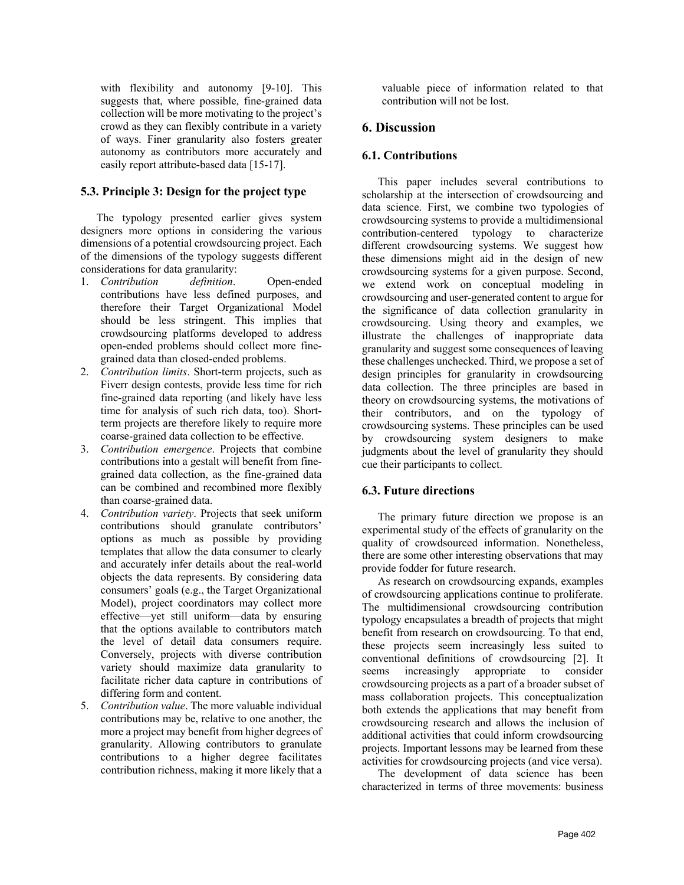with flexibility and autonomy [9-10]. This suggests that, where possible, fine-grained data collection will be more motivating to the project's crowd as they can flexibly contribute in a variety of ways. Finer granularity also fosters greater autonomy as contributors more accurately and easily report attribute-based data [15-17].

### **5.3. Principle 3: Design for the project type**

The typology presented earlier gives system designers more options in considering the various dimensions of a potential crowdsourcing project. Each of the dimensions of the typology suggests different considerations for data granularity:

- 1. *Contribution definition*. Open-ended contributions have less defined purposes, and therefore their Target Organizational Model should be less stringent. This implies that crowdsourcing platforms developed to address open-ended problems should collect more finegrained data than closed-ended problems.
- 2. *Contribution limits*. Short-term projects, such as Fiverr design contests, provide less time for rich fine-grained data reporting (and likely have less time for analysis of such rich data, too). Shortterm projects are therefore likely to require more coarse-grained data collection to be effective.
- 3. *Contribution emergence*. Projects that combine contributions into a gestalt will benefit from finegrained data collection, as the fine-grained data can be combined and recombined more flexibly than coarse-grained data.
- 4. *Contribution variety*. Projects that seek uniform contributions should granulate contributors' options as much as possible by providing templates that allow the data consumer to clearly and accurately infer details about the real-world objects the data represents. By considering data consumers' goals (e.g., the Target Organizational Model), project coordinators may collect more effective—yet still uniform—data by ensuring that the options available to contributors match the level of detail data consumers require. Conversely, projects with diverse contribution variety should maximize data granularity to facilitate richer data capture in contributions of differing form and content.
- 5. *Contribution value*. The more valuable individual contributions may be, relative to one another, the more a project may benefit from higher degrees of granularity. Allowing contributors to granulate contributions to a higher degree facilitates contribution richness, making it more likely that a

valuable piece of information related to that contribution will not be lost.

### **6. Discussion**

### **6.1. Contributions**

This paper includes several contributions to scholarship at the intersection of crowdsourcing and data science. First, we combine two typologies of crowdsourcing systems to provide a multidimensional contribution-centered typology to characterize different crowdsourcing systems. We suggest how these dimensions might aid in the design of new crowdsourcing systems for a given purpose. Second, we extend work on conceptual modeling in crowdsourcing and user-generated content to argue for the significance of data collection granularity in crowdsourcing. Using theory and examples, we illustrate the challenges of inappropriate data granularity and suggest some consequences of leaving these challenges unchecked. Third, we propose a set of design principles for granularity in crowdsourcing data collection. The three principles are based in theory on crowdsourcing systems, the motivations of their contributors, and on the typology of crowdsourcing systems. These principles can be used by crowdsourcing system designers to make judgments about the level of granularity they should cue their participants to collect.

### **6.3. Future directions**

The primary future direction we propose is an experimental study of the effects of granularity on the quality of crowdsourced information. Nonetheless, there are some other interesting observations that may provide fodder for future research.

As research on crowdsourcing expands, examples of crowdsourcing applications continue to proliferate. The multidimensional crowdsourcing contribution typology encapsulates a breadth of projects that might benefit from research on crowdsourcing. To that end, these projects seem increasingly less suited to conventional definitions of crowdsourcing [2]. It seems increasingly appropriate to consider crowdsourcing projects as a part of a broader subset of mass collaboration projects. This conceptualization both extends the applications that may benefit from crowdsourcing research and allows the inclusion of additional activities that could inform crowdsourcing projects. Important lessons may be learned from these activities for crowdsourcing projects (and vice versa).

The development of data science has been characterized in terms of three movements: business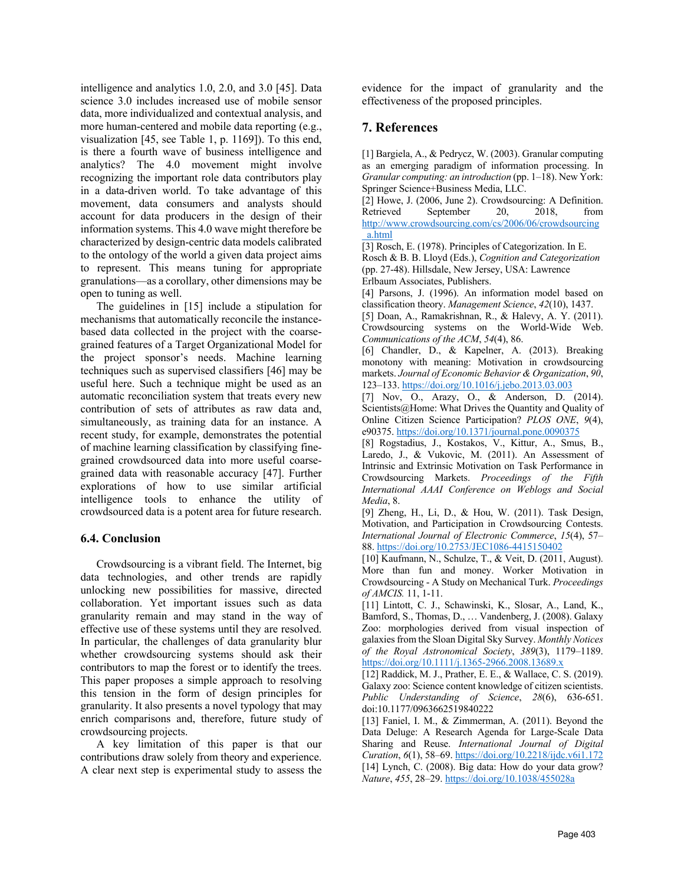intelligence and analytics 1.0, 2.0, and 3.0 [45]. Data science 3.0 includes increased use of mobile sensor data, more individualized and contextual analysis, and more human-centered and mobile data reporting (e.g., visualization [45, see Table 1, p. 1169]). To this end, is there a fourth wave of business intelligence and analytics? The 4.0 movement might involve recognizing the important role data contributors play in a data-driven world. To take advantage of this movement, data consumers and analysts should account for data producers in the design of their information systems. This 4.0 wave might therefore be characterized by design-centric data models calibrated to the ontology of the world a given data project aims to represent. This means tuning for appropriate granulations—as a corollary, other dimensions may be open to tuning as well.

The guidelines in [15] include a stipulation for mechanisms that automatically reconcile the instancebased data collected in the project with the coarsegrained features of a Target Organizational Model for the project sponsor's needs. Machine learning techniques such as supervised classifiers [46] may be useful here. Such a technique might be used as an automatic reconciliation system that treats every new contribution of sets of attributes as raw data and, simultaneously, as training data for an instance. A recent study, for example, demonstrates the potential of machine learning classification by classifying finegrained crowdsourced data into more useful coarsegrained data with reasonable accuracy [47]. Further explorations of how to use similar artificial intelligence tools to enhance the utility of crowdsourced data is a potent area for future research.

### **6.4. Conclusion**

Crowdsourcing is a vibrant field. The Internet, big data technologies, and other trends are rapidly unlocking new possibilities for massive, directed collaboration. Yet important issues such as data granularity remain and may stand in the way of effective use of these systems until they are resolved. In particular, the challenges of data granularity blur whether crowdsourcing systems should ask their contributors to map the forest or to identify the trees. This paper proposes a simple approach to resolving this tension in the form of design principles for granularity. It also presents a novel typology that may enrich comparisons and, therefore, future study of crowdsourcing projects.

A key limitation of this paper is that our contributions draw solely from theory and experience. A clear next step is experimental study to assess the

evidence for the impact of granularity and the effectiveness of the proposed principles.

# **7. References**

[1] Bargiela, A., & Pedrycz, W. (2003). Granular computing as an emerging paradigm of information processing. In *Granular computing: an introduction* (pp. 1–18). New York: Springer Science+Business Media, LLC.

[2] Howe, J. (2006, June 2). Crowdsourcing: A Definition. Retrieved September 20, 2018, from http://www.crowdsourcing.com/cs/2006/06/crowdsourcing \_a.html

[3] Rosch, E. (1978). Principles of Categorization. In E. Rosch & B. B. Lloyd (Eds.), *Cognition and Categorization* (pp. 27-48). Hillsdale, New Jersey, USA: Lawrence Erlbaum Associates, Publishers.

[4] Parsons, J. (1996). An information model based on classification theory. *Management Science*, *42*(10), 1437.

[5] Doan, A., Ramakrishnan, R., & Halevy, A. Y. (2011). Crowdsourcing systems on the World-Wide Web. *Communications of the ACM*, *54*(4), 86.

[6] Chandler, D., & Kapelner, A. (2013). Breaking monotony with meaning: Motivation in crowdsourcing markets. *Journal of Economic Behavior & Organization*, *90*, 123–133. https://doi.org/10.1016/j.jebo.2013.03.003

[7] Nov, O., Arazy, O., & Anderson, D. (2014). Scientists@Home: What Drives the Quantity and Quality of Online Citizen Science Participation? *PLOS ONE*, *9*(4), e90375. https://doi.org/10.1371/journal.pone.0090375

[8] Rogstadius, J., Kostakos, V., Kittur, A., Smus, B., Laredo, J., & Vukovic, M. (2011). An Assessment of Intrinsic and Extrinsic Motivation on Task Performance in Crowdsourcing Markets. *Proceedings of the Fifth International AAAI Conference on Weblogs and Social Media*, 8.

[9] Zheng, H., Li, D., & Hou, W. (2011). Task Design, Motivation, and Participation in Crowdsourcing Contests. *International Journal of Electronic Commerce*, *15*(4), 57– 88. https://doi.org/10.2753/JEC1086-4415150402

[10] Kaufmann, N., Schulze, T., & Veit, D. (2011, August). More than fun and money. Worker Motivation in Crowdsourcing - A Study on Mechanical Turk. *Proceedings of AMCIS.* 11, 1-11.

[11] Lintott, C. J., Schawinski, K., Slosar, A., Land, K., Bamford, S., Thomas, D., … Vandenberg, J. (2008). Galaxy Zoo: morphologies derived from visual inspection of galaxies from the Sloan Digital Sky Survey. *Monthly Notices of the Royal Astronomical Society*, *389*(3), 1179–1189. https://doi.org/10.1111/j.1365-2966.2008.13689.x

[12] Raddick, M. J., Prather, E. E., & Wallace, C. S. (2019). Galaxy zoo: Science content knowledge of citizen scientists. *Public Understanding of Science*, *28*(6), 636-651. doi:10.1177/0963662519840222

[13] Faniel, I. M., & Zimmerman, A. (2011). Beyond the Data Deluge: A Research Agenda for Large-Scale Data Sharing and Reuse. *International Journal of Digital Curation*, *6*(1), 58–69. https://doi.org/10.2218/ijdc.v6i1.172 [14] Lynch, C. (2008). Big data: How do your data grow? *Nature*, *455*, 28–29. https://doi.org/10.1038/455028a